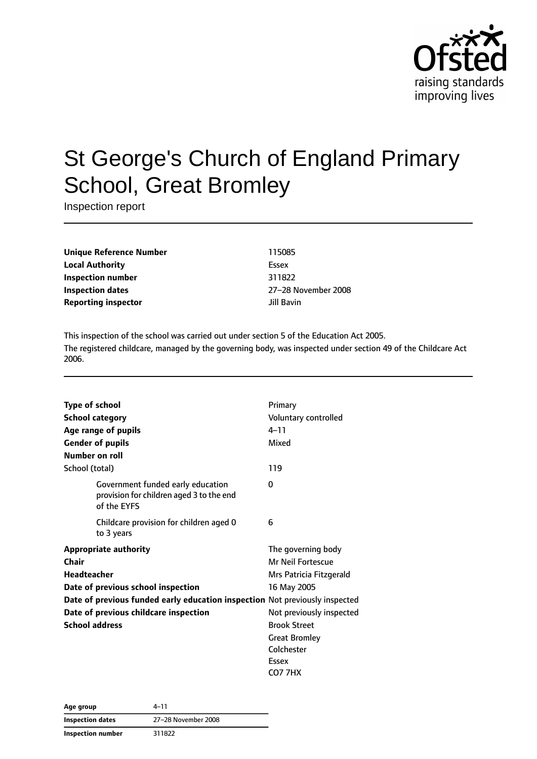

# St George's Church of England Primary School, Great Bromley

Inspection report

**Unique Reference Number** 115085 **Local Authority** Essex **Inspection number** 311822 **Inspection dates** 27–28 November 2008 **Reporting inspector and a structure of the United Structure of the United Structure of the United Structure of the United Structure of the United Structure of the United Structure of the United Structure of the United S** 

This inspection of the school was carried out under section 5 of the Education Act 2005. The registered childcare, managed by the governing body, was inspected under section 49 of the Childcare Act 2006.

| <b>Type of school</b><br><b>School category</b><br>Age range of pupils<br><b>Gender of pupils</b><br>Number on roll                                                                                                                                | Primary<br>Voluntary controlled<br>$4 - 11$<br>Mixed                                                                                                                                                  |
|----------------------------------------------------------------------------------------------------------------------------------------------------------------------------------------------------------------------------------------------------|-------------------------------------------------------------------------------------------------------------------------------------------------------------------------------------------------------|
| School (total)                                                                                                                                                                                                                                     | 119                                                                                                                                                                                                   |
| Government funded early education<br>provision for children aged 3 to the end<br>of the EYFS                                                                                                                                                       | 0                                                                                                                                                                                                     |
| Childcare provision for children aged 0<br>to 3 years                                                                                                                                                                                              | 6                                                                                                                                                                                                     |
| <b>Appropriate authority</b><br>Chair<br><b>Headteacher</b><br>Date of previous school inspection<br>Date of previous funded early education inspection Not previously inspected<br>Date of previous childcare inspection<br><b>School address</b> | The governing body<br>Mr Neil Fortescue<br>Mrs Patricia Fitzgerald<br>16 May 2005<br>Not previously inspected<br><b>Brook Street</b><br><b>Great Bromley</b><br>Colchester<br>Essex<br><b>CO7 7HX</b> |

| 4-11<br>Age group        |                     |
|--------------------------|---------------------|
| Inspection dates         | 27-28 November 2008 |
| <b>Inspection number</b> | 311822              |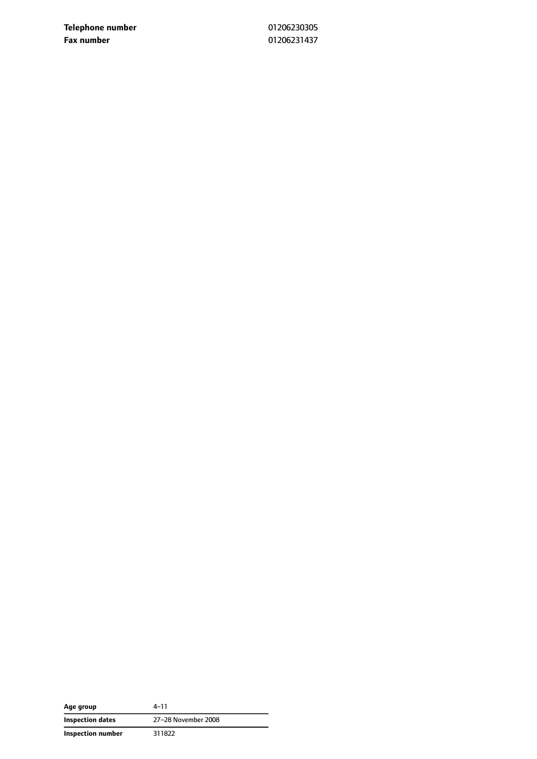**Telephone number** 01206230305 **Fax number** 01206231437

| Age group         | 4-11                |
|-------------------|---------------------|
| Inspection dates  | 27-28 November 2008 |
| Inspection number | 311822              |

 $\overline{\phantom{0}}$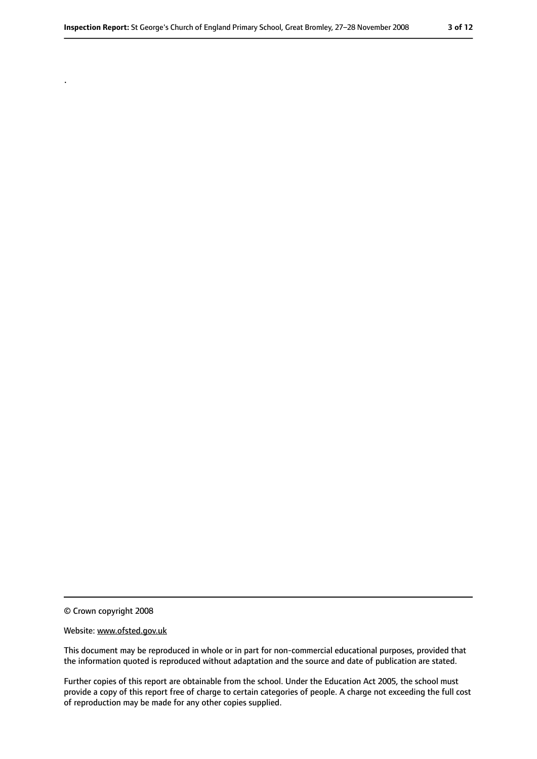© Crown copyright 2008

.

#### Website: www.ofsted.gov.uk

This document may be reproduced in whole or in part for non-commercial educational purposes, provided that the information quoted is reproduced without adaptation and the source and date of publication are stated.

Further copies of this report are obtainable from the school. Under the Education Act 2005, the school must provide a copy of this report free of charge to certain categories of people. A charge not exceeding the full cost of reproduction may be made for any other copies supplied.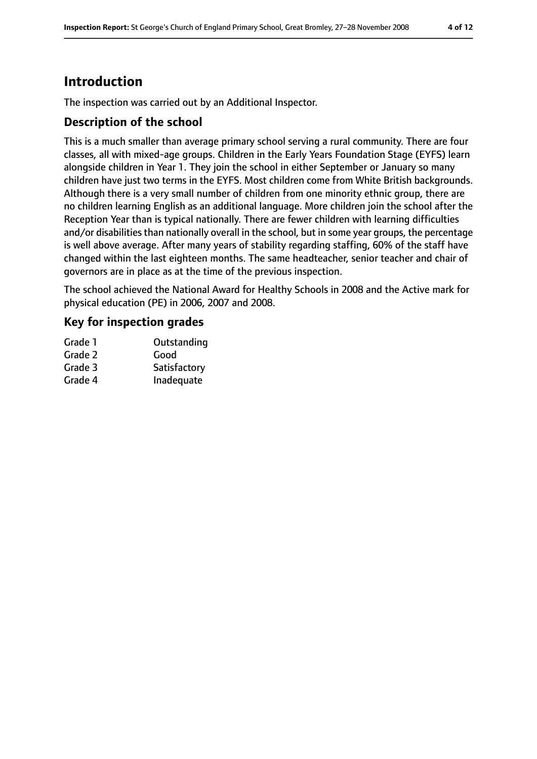# **Introduction**

The inspection was carried out by an Additional Inspector.

### **Description of the school**

This is a much smaller than average primary school serving a rural community. There are four classes, all with mixed-age groups. Children in the Early Years Foundation Stage (EYFS) learn alongside children in Year 1. They join the school in either September or January so many children have just two terms in the EYFS. Most children come from White British backgrounds. Although there is a very small number of children from one minority ethnic group, there are no children learning English as an additional language. More children join the school after the Reception Year than is typical nationally. There are fewer children with learning difficulties and/or disabilities than nationally overall in the school, but in some year groups, the percentage is well above average. After many years of stability regarding staffing, 60% of the staff have changed within the last eighteen months. The same headteacher, senior teacher and chair of governors are in place as at the time of the previous inspection.

The school achieved the National Award for Healthy Schools in 2008 and the Active mark for physical education (PE) in 2006, 2007 and 2008.

### **Key for inspection grades**

| Grade 1 | Outstanding  |
|---------|--------------|
| Grade 2 | Good         |
| Grade 3 | Satisfactory |
| Grade 4 | Inadequate   |
|         |              |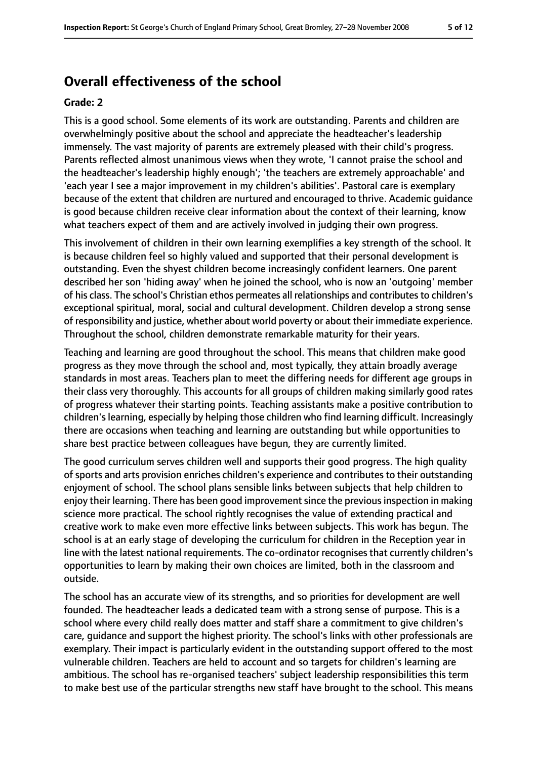# **Overall effectiveness of the school**

#### **Grade: 2**

This is a good school. Some elements of its work are outstanding. Parents and children are overwhelmingly positive about the school and appreciate the headteacher's leadership immensely. The vast majority of parents are extremely pleased with their child's progress. Parents reflected almost unanimous views when they wrote, 'I cannot praise the school and the headteacher's leadership highly enough'; 'the teachers are extremely approachable' and 'each year I see a major improvement in my children's abilities'. Pastoral care is exemplary because of the extent that children are nurtured and encouraged to thrive. Academic guidance is good because children receive clear information about the context of their learning, know what teachers expect of them and are actively involved in judging their own progress.

This involvement of children in their own learning exemplifies a key strength of the school. It is because children feel so highly valued and supported that their personal development is outstanding. Even the shyest children become increasingly confident learners. One parent described her son 'hiding away' when he joined the school, who is now an 'outgoing' member of his class. The school's Christian ethos permeates all relationships and contributes to children's exceptional spiritual, moral, social and cultural development. Children develop a strong sense of responsibility and justice, whether about world poverty or about their immediate experience. Throughout the school, children demonstrate remarkable maturity for their years.

Teaching and learning are good throughout the school. This means that children make good progress as they move through the school and, most typically, they attain broadly average standards in most areas. Teachers plan to meet the differing needs for different age groups in their class very thoroughly. This accounts for all groups of children making similarly good rates of progress whatever their starting points. Teaching assistants make a positive contribution to children's learning, especially by helping those children who find learning difficult. Increasingly there are occasions when teaching and learning are outstanding but while opportunities to share best practice between colleagues have begun, they are currently limited.

The good curriculum serves children well and supports their good progress. The high quality of sports and arts provision enriches children's experience and contributes to their outstanding enjoyment of school. The school plans sensible links between subjects that help children to enjoy their learning. There has been good improvement since the previous inspection in making science more practical. The school rightly recognises the value of extending practical and creative work to make even more effective links between subjects. This work has begun. The school is at an early stage of developing the curriculum for children in the Reception year in line with the latest national requirements. The co-ordinator recognises that currently children's opportunities to learn by making their own choices are limited, both in the classroom and outside.

The school has an accurate view of its strengths, and so priorities for development are well founded. The headteacher leads a dedicated team with a strong sense of purpose. This is a school where every child really does matter and staff share a commitment to give children's care, guidance and support the highest priority. The school's links with other professionals are exemplary. Their impact is particularly evident in the outstanding support offered to the most vulnerable children. Teachers are held to account and so targets for children's learning are ambitious. The school has re-organised teachers' subject leadership responsibilities this term to make best use of the particular strengths new staff have brought to the school. This means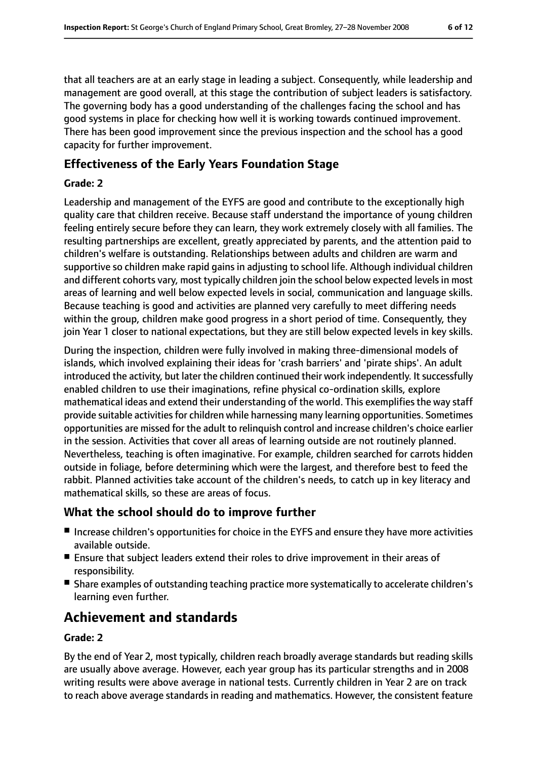that all teachers are at an early stage in leading a subject. Consequently, while leadership and management are good overall, at this stage the contribution of subject leaders is satisfactory. The governing body has a good understanding of the challenges facing the school and has good systems in place for checking how well it is working towards continued improvement. There has been good improvement since the previous inspection and the school has a good capacity for further improvement.

# **Effectiveness of the Early Years Foundation Stage**

#### **Grade: 2**

Leadership and management of the EYFS are good and contribute to the exceptionally high quality care that children receive. Because staff understand the importance of young children feeling entirely secure before they can learn, they work extremely closely with all families. The resulting partnerships are excellent, greatly appreciated by parents, and the attention paid to children's welfare is outstanding. Relationships between adults and children are warm and supportive so children make rapid gains in adjusting to school life. Although individual children and different cohorts vary, most typically children join the school below expected levels in most areas of learning and well below expected levels in social, communication and language skills. Because teaching is good and activities are planned very carefully to meet differing needs within the group, children make good progress in a short period of time. Consequently, they join Year 1 closer to national expectations, but they are still below expected levels in key skills.

During the inspection, children were fully involved in making three-dimensional models of islands, which involved explaining their ideas for 'crash barriers' and 'pirate ships'. An adult introduced the activity, but later the children continued their work independently. It successfully enabled children to use their imaginations, refine physical co-ordination skills, explore mathematical ideas and extend their understanding of the world. This exemplifies the way staff provide suitable activities for children while harnessing many learning opportunities. Sometimes opportunities are missed for the adult to relinquish control and increase children's choice earlier in the session. Activities that cover all areas of learning outside are not routinely planned. Nevertheless, teaching is often imaginative. For example, children searched for carrots hidden outside in foliage, before determining which were the largest, and therefore best to feed the rabbit. Planned activities take account of the children's needs, to catch up in key literacy and mathematical skills, so these are areas of focus.

# **What the school should do to improve further**

- Increase children's opportunities for choice in the EYFS and ensure they have more activities available outside.
- Ensure that subject leaders extend their roles to drive improvement in their areas of responsibility.
- Share examples of outstanding teaching practice more systematically to accelerate children's learning even further.

# **Achievement and standards**

#### **Grade: 2**

By the end of Year 2, most typically, children reach broadly average standards but reading skills are usually above average. However, each year group has its particular strengths and in 2008 writing results were above average in national tests. Currently children in Year 2 are on track to reach above average standards in reading and mathematics. However, the consistent feature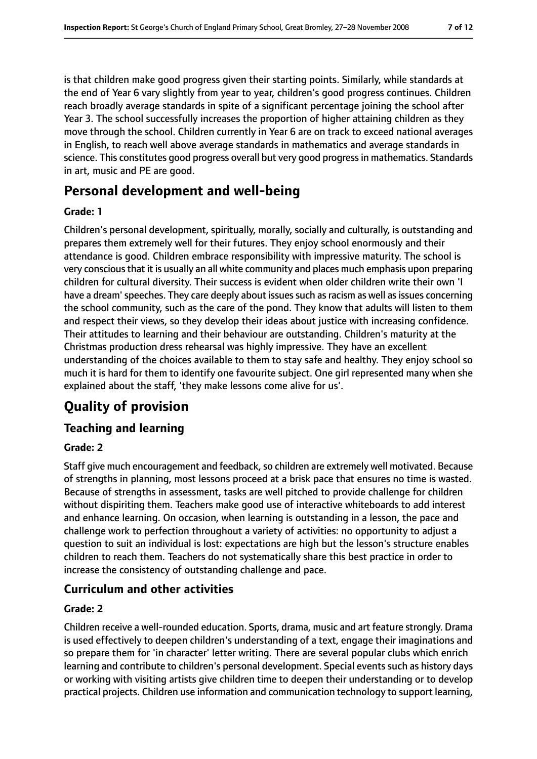is that children make good progress given their starting points. Similarly, while standards at the end of Year 6 vary slightly from year to year, children's good progress continues. Children reach broadly average standards in spite of a significant percentage joining the school after Year 3. The school successfully increases the proportion of higher attaining children as they move through the school. Children currently in Year 6 are on track to exceed national averages in English, to reach well above average standards in mathematics and average standards in science. This constitutes good progress overall but very good progressin mathematics. Standards in art, music and PE are good.

# **Personal development and well-being**

#### **Grade: 1**

Children's personal development, spiritually, morally, socially and culturally, is outstanding and prepares them extremely well for their futures. They enjoy school enormously and their attendance is good. Children embrace responsibility with impressive maturity. The school is very conscious that it is usually an all white community and places much emphasis upon preparing children for cultural diversity. Their success is evident when older children write their own 'I have a dream' speeches. They care deeply about issues such as racism as well as issues concerning the school community, such as the care of the pond. They know that adults will listen to them and respect their views, so they develop their ideas about justice with increasing confidence. Their attitudes to learning and their behaviour are outstanding. Children's maturity at the Christmas production dress rehearsal was highly impressive. They have an excellent understanding of the choices available to them to stay safe and healthy. They enjoy school so much it is hard for them to identify one favourite subject. One girl represented many when she explained about the staff, 'they make lessons come alive for us'.

# **Quality of provision**

# **Teaching and learning**

### **Grade: 2**

Staff give much encouragement and feedback, so children are extremely well motivated. Because of strengths in planning, most lessons proceed at a brisk pace that ensures no time is wasted. Because of strengths in assessment, tasks are well pitched to provide challenge for children without dispiriting them. Teachers make good use of interactive whiteboards to add interest and enhance learning. On occasion, when learning is outstanding in a lesson, the pace and challenge work to perfection throughout a variety of activities: no opportunity to adjust a question to suit an individual is lost: expectations are high but the lesson's structure enables children to reach them. Teachers do not systematically share this best practice in order to increase the consistency of outstanding challenge and pace.

# **Curriculum and other activities**

#### **Grade: 2**

Children receive a well-rounded education. Sports, drama, music and art feature strongly. Drama is used effectively to deepen children's understanding of a text, engage their imaginations and so prepare them for 'in character' letter writing. There are several popular clubs which enrich learning and contribute to children's personal development. Special events such as history days or working with visiting artists give children time to deepen their understanding or to develop practical projects. Children use information and communication technology to support learning,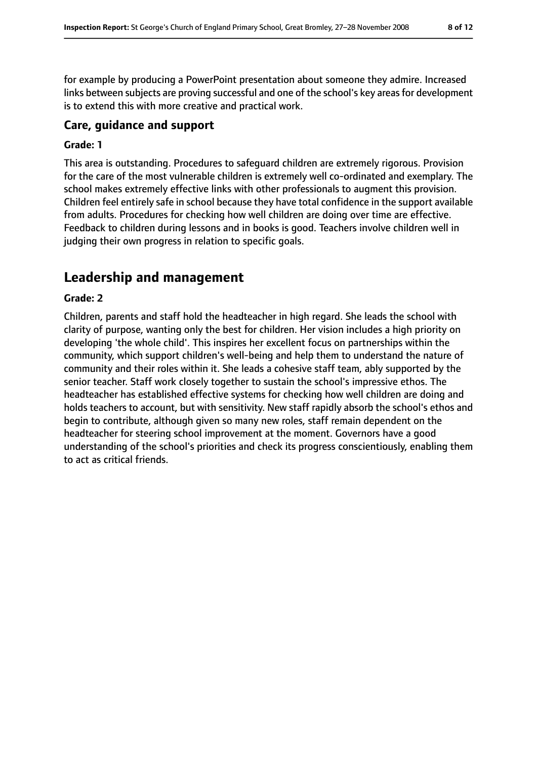for example by producing a PowerPoint presentation about someone they admire. Increased links between subjects are proving successful and one of the school's key areas for development is to extend this with more creative and practical work.

### **Care, guidance and support**

#### **Grade: 1**

This area is outstanding. Procedures to safeguard children are extremely rigorous. Provision for the care of the most vulnerable children is extremely well co-ordinated and exemplary. The school makes extremely effective links with other professionals to augment this provision. Children feel entirely safe in school because they have total confidence in the support available from adults. Procedures for checking how well children are doing over time are effective. Feedback to children during lessons and in books is good. Teachers involve children well in judging their own progress in relation to specific goals.

# **Leadership and management**

#### **Grade: 2**

Children, parents and staff hold the headteacher in high regard. She leads the school with clarity of purpose, wanting only the best for children. Her vision includes a high priority on developing 'the whole child'. This inspires her excellent focus on partnerships within the community, which support children's well-being and help them to understand the nature of community and their roles within it. She leads a cohesive staff team, ably supported by the senior teacher. Staff work closely together to sustain the school's impressive ethos. The headteacher has established effective systems for checking how well children are doing and holds teachers to account, but with sensitivity. New staff rapidly absorb the school's ethos and begin to contribute, although given so many new roles, staff remain dependent on the headteacher for steering school improvement at the moment. Governors have a good understanding of the school's priorities and check its progress conscientiously, enabling them to act as critical friends.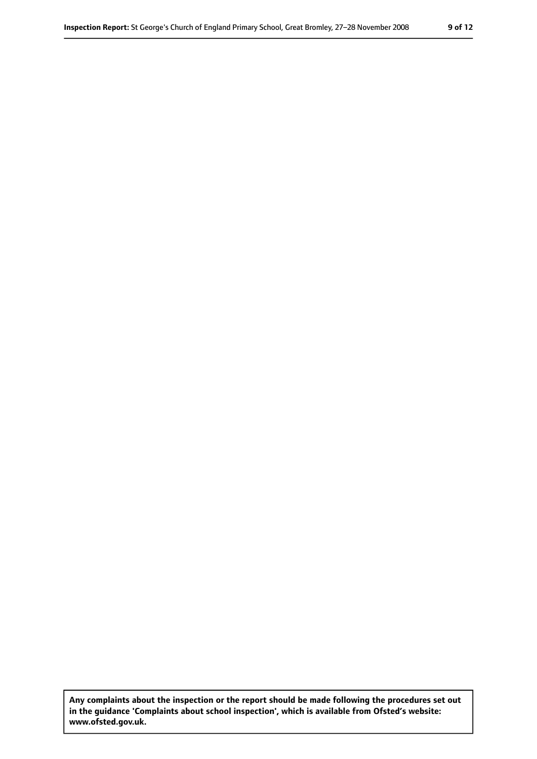**Any complaints about the inspection or the report should be made following the procedures set out in the guidance 'Complaints about school inspection', which is available from Ofsted's website: www.ofsted.gov.uk.**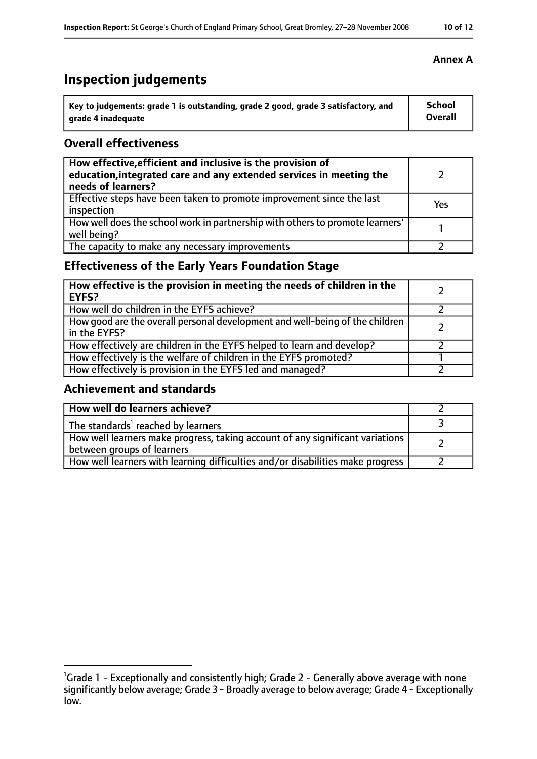# **Inspection judgements**

| Key to judgements: grade 1 is outstanding, grade 2 good, grade 3 satisfactory, and | <b>School</b>  |
|------------------------------------------------------------------------------------|----------------|
| arade 4 inadequate                                                                 | <b>Overall</b> |

### **Overall effectiveness**

| How effective, efficient and inclusive is the provision of<br>education, integrated care and any extended services in meeting the<br>needs of learners? |     |
|---------------------------------------------------------------------------------------------------------------------------------------------------------|-----|
| Effective steps have been taken to promote improvement since the last<br>inspection                                                                     | Yes |
| How well does the school work in partnership with others to promote learners'<br>well being?                                                            |     |
| The capacity to make any necessary improvements                                                                                                         |     |

# **Effectiveness of the Early Years Foundation Stage**

| How effective is the provision in meeting the needs of children in the<br><b>EYFS?</b>       |  |
|----------------------------------------------------------------------------------------------|--|
| How well do children in the EYFS achieve?                                                    |  |
| How good are the overall personal development and well-being of the children<br>in the EYFS? |  |
| How effectively are children in the EYFS helped to learn and develop?                        |  |
| How effectively is the welfare of children in the EYFS promoted?                             |  |
| How effectively is provision in the EYFS led and managed?                                    |  |

# **Achievement and standards**

| How well do learners achieve?                                                                               |  |
|-------------------------------------------------------------------------------------------------------------|--|
| The standards <sup>1</sup> reached by learners                                                              |  |
| How well learners make progress, taking account of any significant variations<br>between groups of learners |  |
| How well learners with learning difficulties and/or disabilities make progress                              |  |

#### **Annex A**

<sup>&</sup>lt;sup>1</sup>Grade 1 - Exceptionally and consistently high; Grade 2 - Generally above average with none significantly below average; Grade 3 - Broadly average to below average; Grade 4 - Exceptionally low.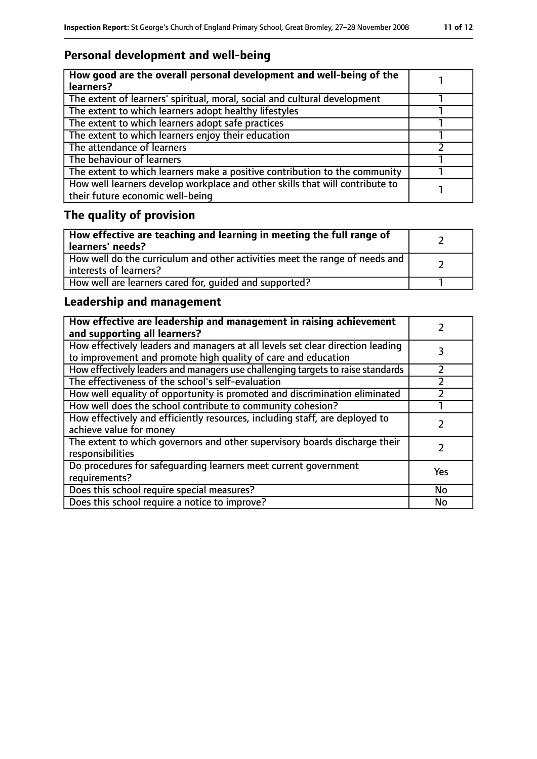# **Personal development and well-being**

| How good are the overall personal development and well-being of the<br>learners?                                 |  |
|------------------------------------------------------------------------------------------------------------------|--|
| The extent of learners' spiritual, moral, social and cultural development                                        |  |
| The extent to which learners adopt healthy lifestyles                                                            |  |
| The extent to which learners adopt safe practices                                                                |  |
| The extent to which learners enjoy their education                                                               |  |
| The attendance of learners                                                                                       |  |
| The behaviour of learners                                                                                        |  |
| The extent to which learners make a positive contribution to the community                                       |  |
| How well learners develop workplace and other skills that will contribute to<br>their future economic well-being |  |

# **The quality of provision**

| $\mid$ How effective are teaching and learning in meeting the full range of<br>  learners' needs?       |  |
|---------------------------------------------------------------------------------------------------------|--|
| How well do the curriculum and other activities meet the range of needs and<br>  interests of learners? |  |
| How well are learners cared for, quided and supported?                                                  |  |

# **Leadership and management**

| How effective are leadership and management in raising achievement<br>and supporting all learners?                                              |     |
|-------------------------------------------------------------------------------------------------------------------------------------------------|-----|
| How effectively leaders and managers at all levels set clear direction leading<br>to improvement and promote high quality of care and education |     |
| How effectively leaders and managers use challenging targets to raise standards                                                                 |     |
| The effectiveness of the school's self-evaluation                                                                                               |     |
| How well equality of opportunity is promoted and discrimination eliminated                                                                      |     |
| How well does the school contribute to community cohesion?                                                                                      |     |
| How effectively and efficiently resources, including staff, are deployed to<br>achieve value for money                                          |     |
| The extent to which governors and other supervisory boards discharge their<br>responsibilities                                                  |     |
| Do procedures for safeguarding learners meet current government<br>requirements?                                                                | Yes |
| Does this school require special measures?                                                                                                      | No  |
| Does this school require a notice to improve?                                                                                                   | No  |